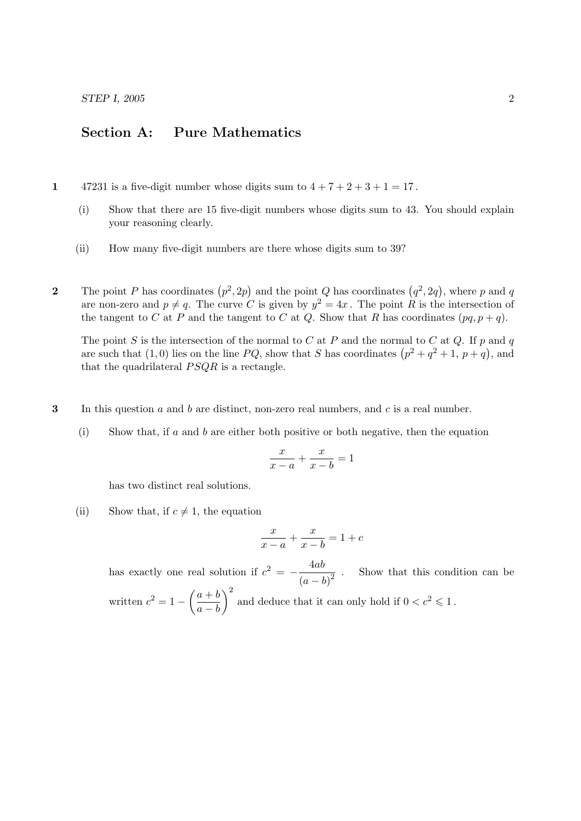STEP I, 2005 2

## Section A: Pure Mathematics

1 47231 is a five-digit number whose digits sum to  $4 + 7 + 2 + 3 + 1 = 17$ .

- (i) Show that there are 15 five-digit numbers whose digits sum to 43. You should explain your reasoning clearly.
- (ii) How many five-digit numbers are there whose digits sum to 39?
- 2 The point P has coordinates  $(p^2, 2p)$  and the point Q has coordinates  $(q^2, 2q)$ , where p and q are non-zero and  $p \neq q$ . The curve C is given by  $y^2 = 4x$ . The point R is the intersection of the tangent to C at P and the tangent to C at Q. Show that R has coordinates  $(pq, p + q)$ .

The point S is the intersection of the normal to C at P and the normal to C at Q. If p and q are such that (1,0) lies on the line PQ, show that S has coordinates  $(p^2 + q^2 + 1, p + q)$ , and that the quadrilateral  $PSQR$  is a rectangle.

- 3 In this question  $a$  and  $b$  are distinct, non-zero real numbers, and  $c$  is a real number.
	- (i) Show that, if a and b are either both positive or both negative, then the equation

$$
\frac{x}{x-a} + \frac{x}{x-b} = 1
$$

has two distinct real solutions.

(ii) Show that, if  $c \neq 1$ , the equation

$$
\frac{x}{x-a} + \frac{x}{x-b} = 1+c
$$

has exactly one real solution if  $c^2 = -\frac{4ab}{a}$  $\frac{1}{(a-b)^2}$ . Show that this condition can be written  $c^2 = 1 - \left(\frac{a+b}{b}\right)$  $a - b$ )<sup>2</sup> and deduce that it can only hold if  $0 < c<sup>2</sup> \le 1$ .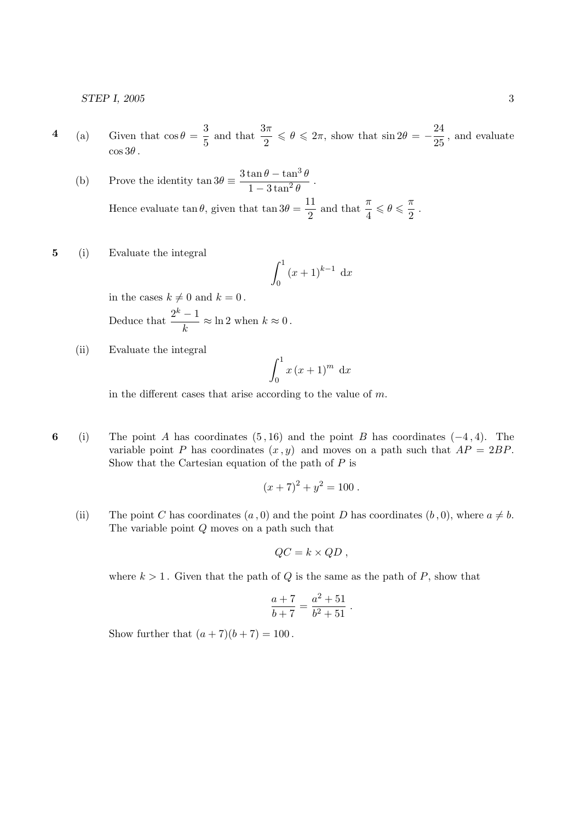STEP I, 2005 3

- 4 (a) Given that  $\cos \theta = \frac{3}{5}$  $\frac{3}{5}$  and that  $\frac{3\pi}{2} \leq \theta \leq 2\pi$ , show that  $\sin 2\theta = -\frac{24}{25}$  $\frac{21}{25}$ , and evaluate  $\cos 3\theta$ .
	- (b) Prove the identity  $\tan 3\theta \equiv \frac{3\tan\theta \tan^3\theta}{1-\theta + \theta^2}$  $1-3\tan^2\theta$ . Hence evaluate  $\tan \theta$ , given that  $\tan 3\theta = \frac{11}{2}$  $\frac{11}{2}$  and that  $\frac{\pi}{4} \leqslant \theta \leqslant \frac{\pi}{2}$  $\frac{1}{2}$ .
- 5 (i) Evaluate the integral

$$
\int_0^1 (x+1)^{k-1} \, \mathrm{d}x
$$

in the cases  $k \neq 0$  and  $k = 0$ . Deduce that  $\frac{2^k-1}{1}$  $\frac{1}{k} \approx \ln 2$  when  $k \approx 0$ .

(ii) Evaluate the integral

$$
\int_0^1 x (x+1)^m \, \mathrm{d}x
$$

in the different cases that arise according to the value of  $m$ .

6 (i) The point A has coordinates  $(5, 16)$  and the point B has coordinates  $(-4, 4)$ . The variable point P has coordinates  $(x, y)$  and moves on a path such that  $AP = 2BP$ . Show that the Cartesian equation of the path of  $P$  is

$$
(x+7)^2 + y^2 = 100.
$$

(ii) The point C has coordinates  $(a, 0)$  and the point D has coordinates  $(b, 0)$ , where  $a \neq b$ . The variable point Q moves on a path such that

$$
QC = k \times QD ,
$$

where  $k > 1$ . Given that the path of Q is the same as the path of P, show that

$$
\frac{a+7}{b+7} = \frac{a^2+51}{b^2+51} .
$$

Show further that  $(a+7)(b+7) = 100$ .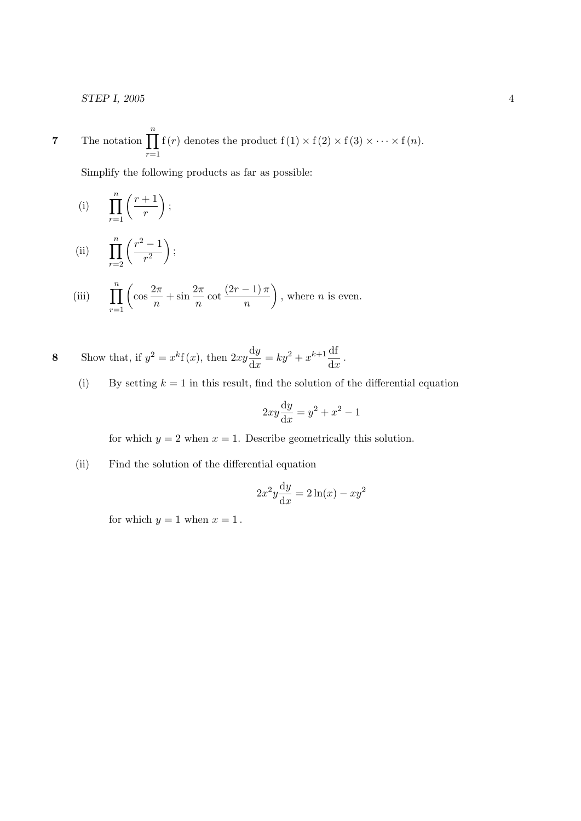STEP I, 2005 4

7 The notation 
$$
\prod_{r=1}^{n} f(r)
$$
 denotes the product  $f(1) \times f(2) \times f(3) \times \cdots \times f(n)$ .

Simplify the following products as far as possible:

(i) 
$$
\prod_{r=1}^{n} \left(\frac{r+1}{r}\right);
$$

(ii) 
$$
\prod_{r=2}^{n} \left( \frac{r^2 - 1}{r^2} \right);
$$

(iii) 
$$
\prod_{r=1}^{n} \left( \cos \frac{2\pi}{n} + \sin \frac{2\pi}{n} \cot \frac{(2r-1)\pi}{n} \right)
$$
, where *n* is even.

8 Show that, if 
$$
y^2 = x^k f(x)
$$
, then  $2xy \frac{dy}{dx} = ky^2 + x^{k+1} \frac{df}{dx}$ .

(i) By setting  $k = 1$  in this result, find the solution of the differential equation

$$
2xy\frac{\mathrm{d}y}{\mathrm{d}x} = y^2 + x^2 - 1
$$

for which  $y = 2$  when  $x = 1$ . Describe geometrically this solution.

(ii) Find the solution of the differential equation

$$
2x^2y\frac{\mathrm{d}y}{\mathrm{d}x} = 2\ln(x) - xy^2
$$

for which  $y = 1$  when  $x = 1$ .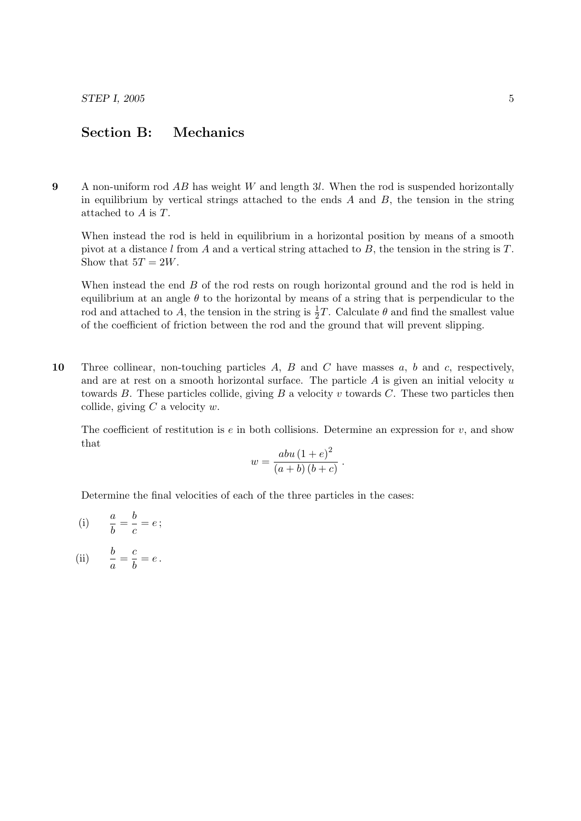## Section B: Mechanics

9 A non-uniform rod  $AB$  has weight W and length 3l. When the rod is suspended horizontally in equilibrium by vertical strings attached to the ends  $A$  and  $B$ , the tension in the string attached to A is T.

When instead the rod is held in equilibrium in a horizontal position by means of a smooth pivot at a distance  $l$  from  $A$  and a vertical string attached to  $B$ , the tension in the string is  $T$ . Show that  $5T = 2W$ .

When instead the end  $B$  of the rod rests on rough horizontal ground and the rod is held in equilibrium at an angle  $\theta$  to the horizontal by means of a string that is perpendicular to the rod and attached to A, the tension in the string is  $\frac{1}{2}T$ . Calculate  $\theta$  and find the smallest value of the coefficient of friction between the rod and the ground that will prevent slipping.

10 Three collinear, non-touching particles  $A, B$  and  $C$  have masses  $a, b$  and  $c$ , respectively, and are at rest on a smooth horizontal surface. The particle  $A$  is given an initial velocity  $u$ towards  $B$ . These particles collide, giving  $B$  a velocity v towards  $C$ . These two particles then collide, giving  $C$  a velocity  $w$ .

The coefficient of restitution is  $e$  in both collisions. Determine an expression for  $v$ , and show that

$$
w = \frac{abu(1+e)^2}{(a+b)(b+c)}.
$$

Determine the final velocities of each of the three particles in the cases:

(i) 
$$
\frac{a}{b} = \frac{b}{c} = e
$$
;

(ii) 
$$
\frac{b}{a} = \frac{c}{b} = e.
$$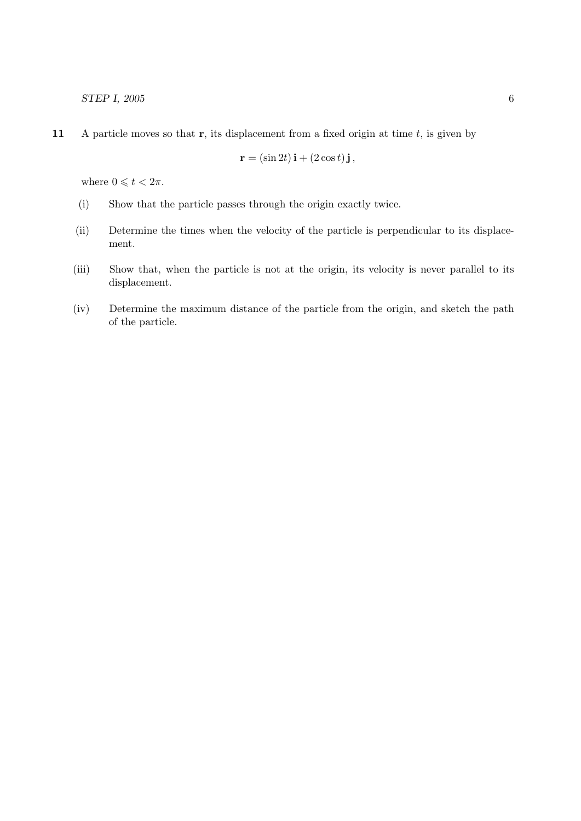11 A particle moves so that  $r$ , its displacement from a fixed origin at time  $t$ , is given by

$$
\mathbf{r} = (\sin 2t)\,\mathbf{i} + (2\cos t)\,\mathbf{j}\,,
$$

where  $0 \leqslant t < 2\pi$ .

- (i) Show that the particle passes through the origin exactly twice.
- (ii) Determine the times when the velocity of the particle is perpendicular to its displacement.
- (iii) Show that, when the particle is not at the origin, its velocity is never parallel to its displacement.
- (iv) Determine the maximum distance of the particle from the origin, and sketch the path of the particle.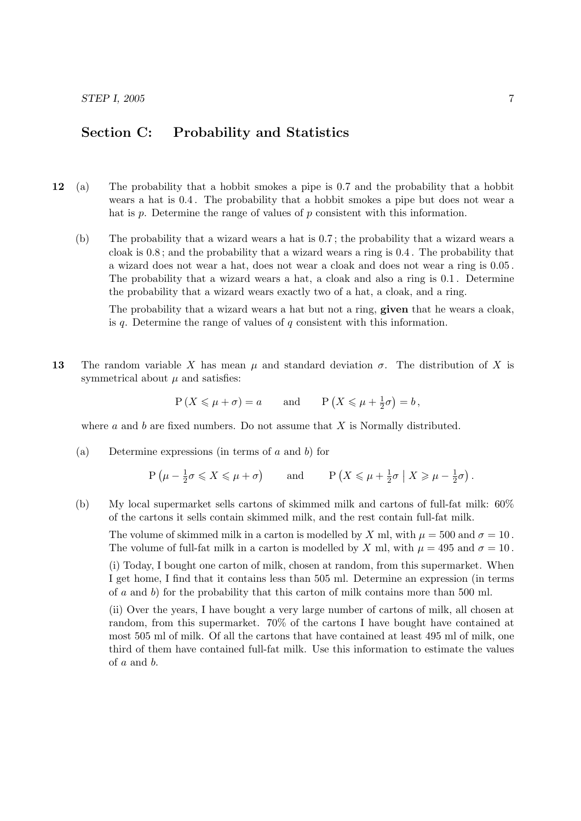## Section C: Probability and Statistics

- 12 (a) The probability that a hobbit smokes a pipe is 0.7 and the probability that a hobbit wears a hat is 0.4 . The probability that a hobbit smokes a pipe but does not wear a hat is  $p$ . Determine the range of values of  $p$  consistent with this information.
	- (b) The probability that a wizard wears a hat is 0.7 ; the probability that a wizard wears a cloak is 0.8 ; and the probability that a wizard wears a ring is 0.4 . The probability that a wizard does not wear a hat, does not wear a cloak and does not wear a ring is 0.05 . The probability that a wizard wears a hat, a cloak and also a ring is 0.1 . Determine the probability that a wizard wears exactly two of a hat, a cloak, and a ring.

The probability that a wizard wears a hat but not a ring, **given** that he wears a cloak, is q. Determine the range of values of q consistent with this information.

13 The random variable X has mean  $\mu$  and standard deviation  $\sigma$ . The distribution of X is symmetrical about  $\mu$  and satisfies:

$$
P(X \le \mu + \sigma) = a
$$
 and  $P(X \le \mu + \frac{1}{2}\sigma) = b$ ,

where  $a$  and  $b$  are fixed numbers. Do not assume that  $X$  is Normally distributed.

(a) Determine expressions (in terms of  $a$  and  $b$ ) for

$$
P\left(\mu - \frac{1}{2}\sigma \leq X \leq \mu + \sigma\right)
$$
 and  $P\left(X \leq \mu + \frac{1}{2}\sigma \mid X \geq \mu - \frac{1}{2}\sigma\right)$ .

(b) My local supermarket sells cartons of skimmed milk and cartons of full-fat milk: 60% of the cartons it sells contain skimmed milk, and the rest contain full-fat milk.

The volume of skimmed milk in a carton is modelled by X ml, with  $\mu = 500$  and  $\sigma = 10$ . The volume of full-fat milk in a carton is modelled by X ml, with  $\mu = 495$  and  $\sigma = 10$ .

(i) Today, I bought one carton of milk, chosen at random, from this supermarket. When I get home, I find that it contains less than 505 ml. Determine an expression (in terms of  $\alpha$  and  $\delta$ ) for the probability that this carton of milk contains more than 500 ml.

(ii) Over the years, I have bought a very large number of cartons of milk, all chosen at random, from this supermarket. 70% of the cartons I have bought have contained at most 505 ml of milk. Of all the cartons that have contained at least 495 ml of milk, one third of them have contained full-fat milk. Use this information to estimate the values of a and b.